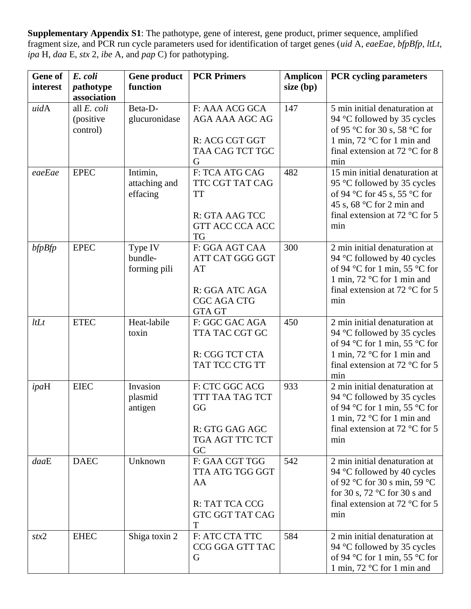**Supplementary Appendix S1**: The pathotype, gene of interest, gene product, primer sequence, amplified fragment size, and PCR run cycle parameters used for identification of target genes (*uid* A, *eaeEae, bfpBfp, ltLt, ipa* H, *daa* E, *stx* 2, *ibe* A, and *pap* C) for pathotyping.

| <b>Gene of</b><br>interest | E. coli<br>pathotype                  | Gene product<br>function              | <b>PCR Primers</b>                                                                               | <b>Amplicon</b><br>size (bp) | <b>PCR</b> cycling parameters                                                                                                                                                              |
|----------------------------|---------------------------------------|---------------------------------------|--------------------------------------------------------------------------------------------------|------------------------------|--------------------------------------------------------------------------------------------------------------------------------------------------------------------------------------------|
|                            | association                           |                                       |                                                                                                  |                              |                                                                                                                                                                                            |
| uidA                       | all E. coli<br>(positive)<br>control) | Beta-D-<br>glucuronidase              | F: AAA ACG GCA<br>AGA AAA AGC AG<br>R: ACG CGT GGT<br>TAA CAG TCT TGC<br>G                       | 147                          | 5 min initial denaturation at<br>94 °C followed by 35 cycles<br>of 95 °C for 30 s, 58 °C for<br>1 min, $72 \text{ °C}$ for 1 min and<br>final extension at 72 $\degree$ C for 8<br>min     |
| eaeEae                     | <b>EPEC</b>                           | Intimin,<br>attaching and<br>effacing | F: TCA ATG CAG<br>TTC CGT TAT CAG<br><b>TT</b><br>R: GTA AAG TCC<br>GTT ACC CCA ACC<br><b>TG</b> | 482                          | 15 min initial denaturation at<br>95 °C followed by 35 cycles<br>of 94 °C for 45 s, 55 °C for<br>45 s, 68 °C for 2 min and<br>final extension at 72 $\degree$ C for 5<br>min               |
| $b$ fp $B$ fp              | <b>EPEC</b>                           | Type IV<br>bundle-<br>forming pili    | F: GGA AGT CAA<br>ATT CAT GGG GGT<br>AT<br>R: GGA ATC AGA<br>CGC AGA CTG<br><b>GTA GT</b>        | 300                          | 2 min initial denaturation at<br>94 °C followed by 40 cycles<br>of 94 °C for 1 min, 55 °C for<br>1 min, $72 \text{ °C}$ for 1 min and<br>final extension at 72 $\degree$ C for 5<br>min    |
| ltLt                       | <b>ETEC</b>                           | Heat-labile<br>toxin                  | F: GGC GAC AGA<br>TTA TAC CGT GC<br>R: CGG TCT CTA<br>TAT TCC CTG TT                             | 450                          | 2 min initial denaturation at<br>94 °C followed by 35 cycles<br>of 94 °C for 1 min, 55 °C for<br>1 min, $72 \text{ °C}$ for 1 min and<br>final extension at 72 $\degree$ C for 5<br>min    |
| ipaH                       | <b>EIEC</b>                           | Invasion<br>plasmid<br>antigen        | F: CTC GGC ACG<br>TTT TAA TAG TCT<br>GG<br>R: GTG GAG AGC<br>TGA AGT TTC TCT<br>GC               | 933                          | $\overline{2}$ min initial denaturation at<br>94 °C followed by 35 cycles<br>of 94 °C for 1 min, 55 °C for<br>1 min, 72 °C for 1 min and<br>final extension at 72 $\degree$ C for 5<br>min |
| daaE                       | <b>DAEC</b>                           | Unknown                               | F: GAA CGT TGG<br>TTA ATG TGG GGT<br>AA<br>R: TAT TCA CCG<br>GTC GGT TAT CAG<br>T                | 542                          | 2 min initial denaturation at<br>94 °C followed by 40 cycles<br>of 92 °C for 30 s min, 59 °C<br>for 30 s, 72 $\degree$ C for 30 s and<br>final extension at 72 $\degree$ C for 5<br>min    |
| stx2                       | <b>EHEC</b>                           | Shiga toxin 2                         | F: ATC CTA TTC<br>CCG GGA GTT TAC<br>G                                                           | 584                          | 2 min initial denaturation at<br>94 °C followed by 35 cycles<br>of 94 °C for 1 min, 55 °C for<br>1 min, $72 \text{ °C}$ for 1 min and                                                      |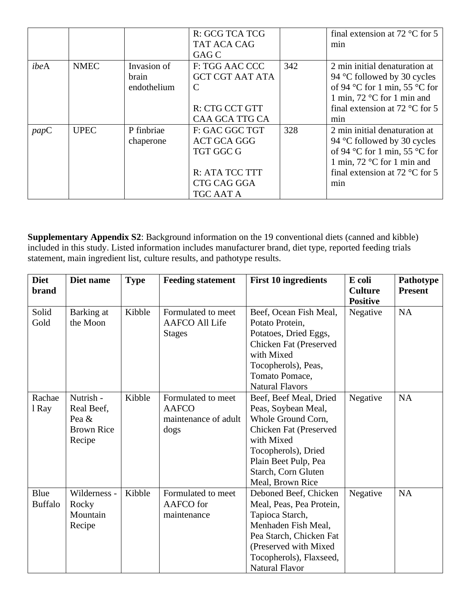|      |             |             | R: GCG TCA TCG         |     | final extension at 72 $\degree$ C for 5 |
|------|-------------|-------------|------------------------|-----|-----------------------------------------|
|      |             |             | <b>TAT ACA CAG</b>     |     | min                                     |
|      |             |             | GAG C                  |     |                                         |
| ibeA | <b>NMEC</b> | Invasion of | F: TGG AAC CCC         | 342 | 2 min initial denaturation at           |
|      |             | brain       | <b>GCT CGT AAT ATA</b> |     | 94 °C followed by 30 cycles             |
|      |             | endothelium | C                      |     | of 94 °C for 1 min, 55 °C for           |
|      |             |             |                        |     | 1 min, $72^{\circ}$ C for 1 min and     |
|      |             |             | R: CTG CCT GTT         |     | final extension at 72 $\degree$ C for 5 |
|      |             |             | <b>CAA GCA TTG CA</b>  |     | min                                     |
| papC | <b>UPEC</b> | P finbriae  | F: GAC GGC TGT         | 328 | 2 min initial denaturation at           |
|      |             | chaperone   | <b>ACT GCA GGG</b>     |     | 94 °C followed by 30 cycles             |
|      |             |             | TGT GGC G              |     | of 94 °C for 1 min, 55 °C for           |
|      |             |             |                        |     | 1 min, $72^{\circ}$ C for 1 min and     |
|      |             |             | R: ATA TCC TTT         |     | final extension at 72 $\degree$ C for 5 |
|      |             |             | CTG CAG GGA            |     | min                                     |
|      |             |             | TGC AAT A              |     |                                         |

**Supplementary Appendix S2**: Background information on the 19 conventional diets (canned and kibble) included in this study. Listed information includes manufacturer brand, diet type, reported feeding trials statement, main ingredient list, culture results, and pathotype results.

| <b>Diet</b><br><b>brand</b> | Diet name                                                       | <b>Type</b> | <b>Feeding statement</b>                                           | <b>First 10 ingredients</b>                                                                                                                                                                           | E coli<br><b>Culture</b><br><b>Positive</b> | Pathotype<br><b>Present</b> |
|-----------------------------|-----------------------------------------------------------------|-------------|--------------------------------------------------------------------|-------------------------------------------------------------------------------------------------------------------------------------------------------------------------------------------------------|---------------------------------------------|-----------------------------|
| Solid<br>Gold               | Barking at<br>the Moon                                          | Kibble      | Formulated to meet<br><b>AAFCO All Life</b><br><b>Stages</b>       | Beef, Ocean Fish Meal,<br>Potato Protein,<br>Potatoes, Dried Eggs,<br>Chicken Fat (Preserved<br>with Mixed<br>Tocopherols), Peas,<br>Tomato Pomace,<br><b>Natural Flavors</b>                         | Negative                                    | NA                          |
| Rachae<br>1 Ray             | Nutrish -<br>Real Beef,<br>Pea &<br><b>Brown Rice</b><br>Recipe | Kibble      | Formulated to meet<br><b>AAFCO</b><br>maintenance of adult<br>dogs | Beef, Beef Meal, Dried<br>Peas, Soybean Meal,<br>Whole Ground Corn,<br>Chicken Fat (Preserved<br>with Mixed<br>Tocopherols), Dried<br>Plain Beet Pulp, Pea<br>Starch, Corn Gluten<br>Meal, Brown Rice | Negative                                    | <b>NA</b>                   |
| Blue<br><b>Buffalo</b>      | Wilderness -<br>Rocky<br>Mountain<br>Recipe                     | Kibble      | Formulated to meet<br>AAFCO for<br>maintenance                     | Deboned Beef, Chicken<br>Meal, Peas, Pea Protein,<br>Tapioca Starch,<br>Menhaden Fish Meal,<br>Pea Starch, Chicken Fat<br>(Preserved with Mixed)<br>Tocopherols), Flaxseed,<br><b>Natural Flavor</b>  | Negative                                    | <b>NA</b>                   |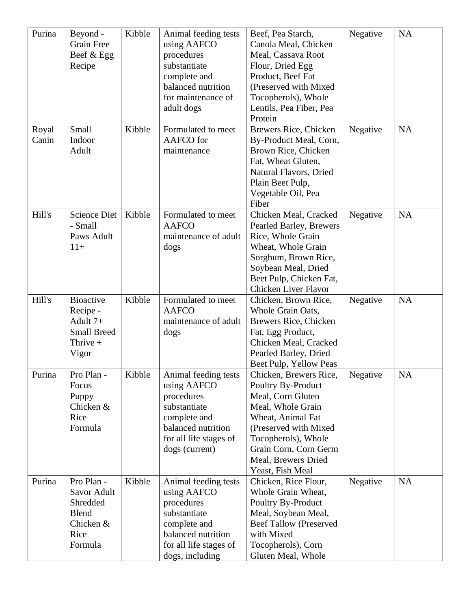| Purina | Beyond -           | Kibble | Animal feeding tests   | Beef, Pea Starch,             | Negative | <b>NA</b> |
|--------|--------------------|--------|------------------------|-------------------------------|----------|-----------|
|        | <b>Grain Free</b>  |        | using AAFCO            | Canola Meal, Chicken          |          |           |
|        | Beef & Egg         |        | procedures             | Meal, Cassava Root            |          |           |
|        | Recipe             |        | substantiate           | Flour, Dried Egg              |          |           |
|        |                    |        | complete and           | Product, Beef Fat             |          |           |
|        |                    |        | balanced nutrition     | (Preserved with Mixed         |          |           |
|        |                    |        | for maintenance of     | Tocopherols), Whole           |          |           |
|        |                    |        | adult dogs             | Lentils, Pea Fiber, Pea       |          |           |
|        |                    |        |                        | Protein                       |          |           |
| Royal  | Small              | Kibble | Formulated to meet     | Brewers Rice, Chicken         | Negative | <b>NA</b> |
| Canin  | Indoor             |        | AAFCO for              | By-Product Meal, Corn,        |          |           |
|        | Adult              |        | maintenance            | Brown Rice, Chicken           |          |           |
|        |                    |        |                        | Fat, Wheat Gluten,            |          |           |
|        |                    |        |                        | Natural Flavors, Dried        |          |           |
|        |                    |        |                        | Plain Beet Pulp,              |          |           |
|        |                    |        |                        | Vegetable Oil, Pea            |          |           |
|        |                    |        |                        | Fiber                         |          |           |
| Hill's | Science Diet       | Kibble | Formulated to meet     | Chicken Meal, Cracked         | Negative | <b>NA</b> |
|        | - Small            |        | <b>AAFCO</b>           | Pearled Barley, Brewers       |          |           |
|        | Paws Adult         |        | maintenance of adult   | Rice, Whole Grain             |          |           |
|        | $11+$              |        | dogs                   | Wheat, Whole Grain            |          |           |
|        |                    |        |                        | Sorghum, Brown Rice,          |          |           |
|        |                    |        |                        |                               |          |           |
|        |                    |        |                        | Soybean Meal, Dried           |          |           |
|        |                    |        |                        | Beet Pulp, Chicken Fat,       |          |           |
|        |                    |        |                        | <b>Chicken Liver Flavor</b>   |          |           |
| Hill's | <b>Bioactive</b>   | Kibble | Formulated to meet     | Chicken, Brown Rice,          | Negative | <b>NA</b> |
|        | Recipe -           |        | <b>AAFCO</b>           | Whole Grain Oats,             |          |           |
|        | Adult 7+           |        | maintenance of adult   | Brewers Rice, Chicken         |          |           |
|        | <b>Small Breed</b> |        | dogs                   | Fat, Egg Product,             |          |           |
|        | Thrive $+$         |        |                        | Chicken Meal, Cracked         |          |           |
|        | Vigor              |        |                        | Pearled Barley, Dried         |          |           |
|        |                    |        |                        | Beet Pulp, Yellow Peas        |          |           |
| Purina | Pro Plan -         | Kibble | Animal feeding tests   | Chicken, Brewers Rice,        | Negative | <b>NA</b> |
|        | Focus              |        | using AAFCO            | Poultry By-Product            |          |           |
|        | Puppy              |        | procedures             | Meal, Corn Gluten             |          |           |
|        | Chicken &          |        | substantiate           | Meal, Whole Grain             |          |           |
|        | Rice               |        | complete and           | Wheat, Animal Fat             |          |           |
|        | Formula            |        | balanced nutrition     | (Preserved with Mixed         |          |           |
|        |                    |        | for all life stages of | Tocopherols), Whole           |          |           |
|        |                    |        | dogs (current)         | Grain Corn, Corn Germ         |          |           |
|        |                    |        |                        | Meal, Brewers Dried           |          |           |
|        |                    |        |                        | Yeast, Fish Meal              |          |           |
| Purina | Pro Plan -         | Kibble | Animal feeding tests   | Chicken, Rice Flour,          | Negative | <b>NA</b> |
|        | Savor Adult        |        | using AAFCO            | Whole Grain Wheat,            |          |           |
|        | Shredded           |        | procedures             | Poultry By-Product            |          |           |
|        | <b>Blend</b>       |        | substantiate           | Meal, Soybean Meal,           |          |           |
|        | Chicken &          |        | complete and           | <b>Beef Tallow (Preserved</b> |          |           |
|        | Rice               |        | balanced nutrition     | with Mixed                    |          |           |
|        | Formula            |        | for all life stages of | Tocopherols), Corn            |          |           |
|        |                    |        |                        |                               |          |           |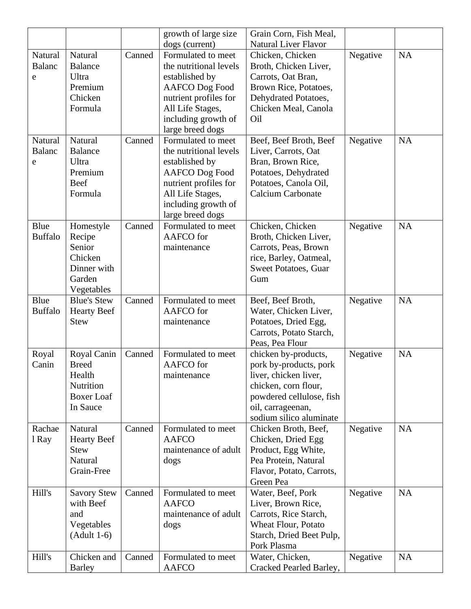|                |                                 |        | growth of large size   | Grain Corn, Fish Meal,                      |          |           |
|----------------|---------------------------------|--------|------------------------|---------------------------------------------|----------|-----------|
|                |                                 |        | dogs (current)         | <b>Natural Liver Flavor</b>                 |          |           |
| Natural        | Natural                         | Canned | Formulated to meet     | Chicken, Chicken                            | Negative | NA        |
| <b>Balanc</b>  | <b>Balance</b>                  |        | the nutritional levels | Broth, Chicken Liver,                       |          |           |
| e              | Ultra                           |        | established by         | Carrots, Oat Bran,                          |          |           |
|                | Premium                         |        | <b>AAFCO</b> Dog Food  | Brown Rice, Potatoes,                       |          |           |
|                | Chicken                         |        | nutrient profiles for  | Dehydrated Potatoes,                        |          |           |
|                | Formula                         |        | All Life Stages,       | Chicken Meal, Canola                        |          |           |
|                |                                 |        | including growth of    | Oil                                         |          |           |
|                |                                 |        | large breed dogs       |                                             |          |           |
| Natural        | Natural                         | Canned | Formulated to meet     | Beef, Beef Broth, Beef                      | Negative | <b>NA</b> |
| <b>Balanc</b>  | <b>Balance</b>                  |        | the nutritional levels | Liver, Carrots, Oat                         |          |           |
| e              | Ultra                           |        | established by         | Bran, Brown Rice,                           |          |           |
|                | Premium                         |        | <b>AAFCO</b> Dog Food  | Potatoes, Dehydrated                        |          |           |
|                | Beef                            |        | nutrient profiles for  | Potatoes, Canola Oil,                       |          |           |
|                | Formula                         |        | All Life Stages,       | <b>Calcium Carbonate</b>                    |          |           |
|                |                                 |        | including growth of    |                                             |          |           |
|                |                                 |        | large breed dogs       |                                             |          |           |
| Blue           | Homestyle                       | Canned | Formulated to meet     | Chicken, Chicken                            | Negative | <b>NA</b> |
| <b>Buffalo</b> | Recipe                          |        | AAFCO for              | Broth, Chicken Liver,                       |          |           |
|                | Senior                          |        | maintenance            | Carrots, Peas, Brown                        |          |           |
|                | Chicken                         |        |                        | rice, Barley, Oatmeal,                      |          |           |
|                | Dinner with                     |        |                        | Sweet Potatoes, Guar                        |          |           |
|                | Garden                          |        |                        | Gum                                         |          |           |
|                | Vegetables                      |        |                        |                                             |          |           |
| Blue           | <b>Blue's Stew</b>              | Canned | Formulated to meet     | Beef, Beef Broth,                           | Negative | <b>NA</b> |
| <b>Buffalo</b> | <b>Hearty Beef</b>              |        | AAFCO for              | Water, Chicken Liver,                       |          |           |
|                | <b>Stew</b>                     |        | maintenance            | Potatoes, Dried Egg,                        |          |           |
|                |                                 |        |                        | Carrots, Potato Starch,                     |          |           |
|                |                                 |        |                        | Peas, Pea Flour                             |          |           |
| Royal          | Royal Canin                     | Canned | Formulated to meet     | chicken by-products,                        | Negative | <b>NA</b> |
| Canin          | <b>Breed</b>                    |        | AAFCO for              | pork by-products, pork                      |          |           |
|                | Health                          |        | maintenance            | liver, chicken liver,                       |          |           |
|                | Nutrition                       |        |                        | chicken, corn flour,                        |          |           |
|                | <b>Boxer</b> Loaf               |        |                        | powdered cellulose, fish                    |          |           |
|                | In Sauce                        |        |                        | oil, carrageenan,                           |          |           |
|                |                                 |        |                        | sodium silico aluminate                     |          |           |
| Rachae         | Natural                         | Canned | Formulated to meet     | Chicken Broth, Beef,                        | Negative | <b>NA</b> |
| 1 Ray          | <b>Hearty Beef</b>              |        | <b>AAFCO</b>           | Chicken, Dried Egg                          |          |           |
|                | <b>Stew</b>                     |        | maintenance of adult   | Product, Egg White,                         |          |           |
|                | Natural                         |        | dogs                   | Pea Protein, Natural                        |          |           |
|                | Grain-Free                      |        |                        | Flavor, Potato, Carrots,<br>Green Pea       |          |           |
| Hill's         |                                 |        | Formulated to meet     |                                             |          | <b>NA</b> |
|                | <b>Savory Stew</b><br>with Beef | Canned | <b>AAFCO</b>           | Water, Beef, Pork                           | Negative |           |
|                | and                             |        | maintenance of adult   | Liver, Brown Rice,<br>Carrots, Rice Starch, |          |           |
|                |                                 |        |                        | Wheat Flour, Potato                         |          |           |
|                | Vegetables<br>$(Adult 1-6)$     |        | dogs                   | Starch, Dried Beet Pulp,                    |          |           |
|                |                                 |        |                        | Pork Plasma                                 |          |           |
| Hill's         | Chicken and                     | Canned | Formulated to meet     | Water, Chicken,                             | Negative | NA        |
|                | <b>Barley</b>                   |        | <b>AAFCO</b>           | Cracked Pearled Barley,                     |          |           |
|                |                                 |        |                        |                                             |          |           |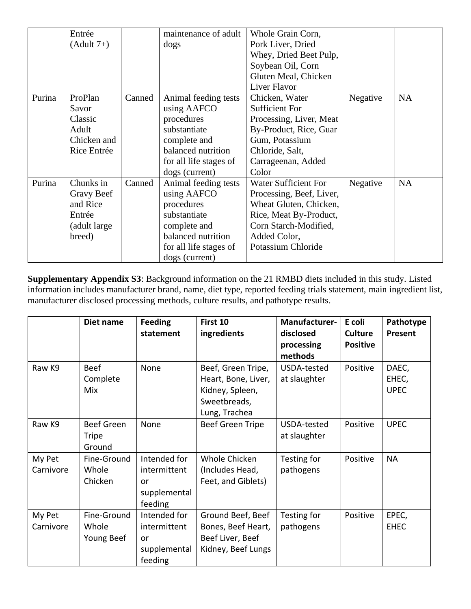|        | Entrée        |        | maintenance of adult   | Whole Grain Corn,           |          |           |
|--------|---------------|--------|------------------------|-----------------------------|----------|-----------|
|        | $(Adult 7+)$  |        | dogs                   | Pork Liver, Dried           |          |           |
|        |               |        |                        | Whey, Dried Beet Pulp,      |          |           |
|        |               |        |                        | Soybean Oil, Corn           |          |           |
|        |               |        |                        | Gluten Meal, Chicken        |          |           |
|        |               |        |                        | Liver Flavor                |          |           |
| Purina | ProPlan       | Canned | Animal feeding tests   | Chicken, Water              | Negative | <b>NA</b> |
|        | Savor         |        | using AAFCO            | <b>Sufficient For</b>       |          |           |
|        | Classic       |        | procedures             | Processing, Liver, Meat     |          |           |
|        | Adult         |        | substantiate           | By-Product, Rice, Guar      |          |           |
|        | Chicken and   |        | complete and           | Gum, Potassium              |          |           |
|        | Rice Entrée   |        | balanced nutrition     | Chloride, Salt,             |          |           |
|        |               |        | for all life stages of | Carrageenan, Added          |          |           |
|        |               |        | dogs (current)         | Color                       |          |           |
| Purina | Chunks in     | Canned | Animal feeding tests   | <b>Water Sufficient For</b> | Negative | <b>NA</b> |
|        | Gravy Beef    |        | using AAFCO            | Processing, Beef, Liver,    |          |           |
|        | and Rice      |        | procedures             | Wheat Gluten, Chicken,      |          |           |
|        | Entrée        |        | substantiate           | Rice, Meat By-Product,      |          |           |
|        | (adult large) |        | complete and           | Corn Starch-Modified,       |          |           |
|        | breed)        |        | balanced nutrition     | Added Color,                |          |           |
|        |               |        | for all life stages of | Potassium Chloride          |          |           |
|        |               |        | dogs (current)         |                             |          |           |

**Supplementary Appendix S3**: Background information on the 21 RMBD diets included in this study. Listed information includes manufacturer brand, name, diet type, reported feeding trials statement, main ingredient list, manufacturer disclosed processing methods, culture results, and pathotype results.

|                     | Diet name                                   | <b>Feeding</b><br>statement                                   | First 10<br>ingredients                                                                       | Manufacturer-<br>disclosed<br>processing<br>methods | E coli<br><b>Culture</b><br><b>Positive</b> | Pathotype<br>Present          |
|---------------------|---------------------------------------------|---------------------------------------------------------------|-----------------------------------------------------------------------------------------------|-----------------------------------------------------|---------------------------------------------|-------------------------------|
| Raw K9              | <b>Beef</b><br>Complete<br>Mix              | None                                                          | Beef, Green Tripe,<br>Heart, Bone, Liver,<br>Kidney, Spleen,<br>Sweetbreads,<br>Lung, Trachea | USDA-tested<br>at slaughter                         | Positive                                    | DAEC,<br>EHEC,<br><b>UPEC</b> |
| Raw K9              | <b>Beef Green</b><br><b>Tripe</b><br>Ground | None                                                          | Beef Green Tripe                                                                              | USDA-tested<br>at slaughter                         | Positive                                    | <b>UPEC</b>                   |
| My Pet<br>Carnivore | Fine-Ground<br>Whole<br>Chicken             | Intended for<br>intermittent<br>or<br>supplemental<br>feeding | Whole Chicken<br>(Includes Head,<br>Feet, and Giblets)                                        | Testing for<br>pathogens                            | Positive                                    | <b>NA</b>                     |
| My Pet<br>Carnivore | Fine-Ground<br>Whole<br>Young Beef          | Intended for<br>intermittent<br>or<br>supplemental<br>feeding | Ground Beef, Beef<br>Bones, Beef Heart,<br>Beef Liver, Beef<br>Kidney, Beef Lungs             | Testing for<br>pathogens                            | Positive                                    | EPEC,<br><b>EHEC</b>          |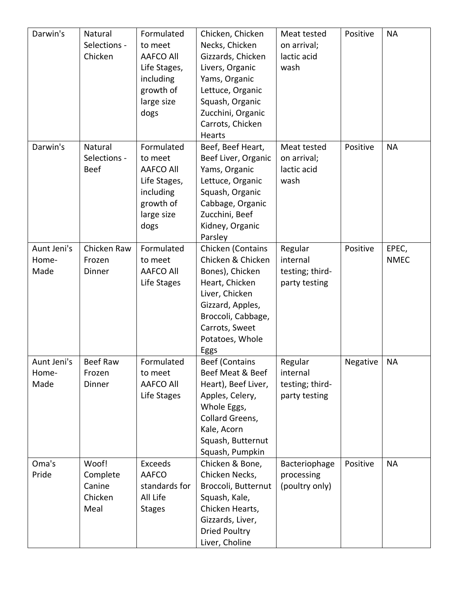| Darwin's                     | Natural<br>Selections -<br>Chicken             | Formulated<br>to meet<br><b>AAFCO All</b><br>Life Stages,<br>including<br>growth of<br>large size<br>dogs | Chicken, Chicken<br>Necks, Chicken<br>Gizzards, Chicken<br>Livers, Organic<br>Yams, Organic<br>Lettuce, Organic<br>Squash, Organic<br>Zucchini, Organic<br>Carrots, Chicken<br>Hearts | Meat tested<br>on arrival;<br>lactic acid<br>wash       | Positive | <b>NA</b>            |
|------------------------------|------------------------------------------------|-----------------------------------------------------------------------------------------------------------|---------------------------------------------------------------------------------------------------------------------------------------------------------------------------------------|---------------------------------------------------------|----------|----------------------|
| Darwin's                     | Natural<br>Selections -<br><b>Beef</b>         | Formulated<br>to meet<br><b>AAFCO All</b><br>Life Stages,<br>including<br>growth of<br>large size<br>dogs | Beef, Beef Heart,<br>Beef Liver, Organic<br>Yams, Organic<br>Lettuce, Organic<br>Squash, Organic<br>Cabbage, Organic<br>Zucchini, Beef<br>Kidney, Organic<br>Parsley                  | Meat tested<br>on arrival;<br>lactic acid<br>wash       | Positive | <b>NA</b>            |
| Aunt Jeni's<br>Home-<br>Made | Chicken Raw<br>Frozen<br>Dinner                | Formulated<br>to meet<br><b>AAFCO All</b><br>Life Stages                                                  | Chicken (Contains<br>Chicken & Chicken<br>Bones), Chicken<br>Heart, Chicken<br>Liver, Chicken<br>Gizzard, Apples,<br>Broccoli, Cabbage,<br>Carrots, Sweet<br>Potatoes, Whole<br>Eggs  | Regular<br>internal<br>testing; third-<br>party testing | Positive | EPEC,<br><b>NMEC</b> |
| Aunt Jeni's<br>Home-<br>Made | <b>Beef Raw</b><br>Frozen<br>Dinner            | Formulated<br>to meet<br><b>AAFCO All</b><br>Life Stages                                                  | <b>Beef (Contains</b><br>Beef Meat & Beef<br>Heart), Beef Liver,<br>Apples, Celery,<br>Whole Eggs,<br>Collard Greens,<br>Kale, Acorn<br>Squash, Butternut<br>Squash, Pumpkin          | Regular<br>internal<br>testing; third-<br>party testing | Negative | <b>NA</b>            |
| Oma's<br>Pride               | Woof!<br>Complete<br>Canine<br>Chicken<br>Meal | <b>Exceeds</b><br>AAFCO<br>standards for<br>All Life<br><b>Stages</b>                                     | Chicken & Bone,<br>Chicken Necks,<br>Broccoli, Butternut<br>Squash, Kale,<br>Chicken Hearts,<br>Gizzards, Liver,<br><b>Dried Poultry</b><br>Liver, Choline                            | Bacteriophage<br>processing<br>(poultry only)           | Positive | <b>NA</b>            |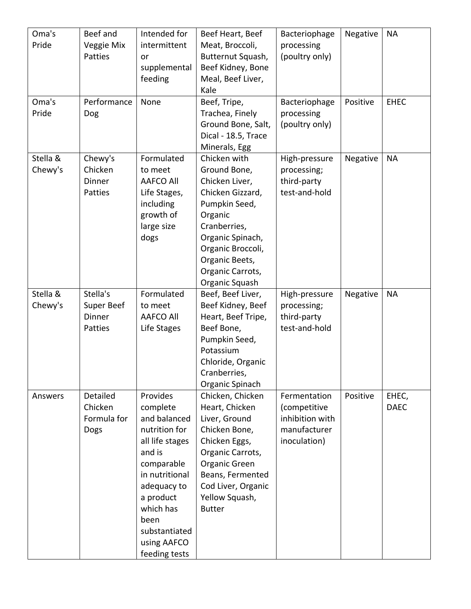| Oma's    | Beef and    | Intended for     | Beef Heart, Beef           | Bacteriophage                | Negative | <b>NA</b>   |
|----------|-------------|------------------|----------------------------|------------------------------|----------|-------------|
| Pride    | Veggie Mix  | intermittent     | Meat, Broccoli,            | processing                   |          |             |
|          | Patties     | or               | Butternut Squash,          | (poultry only)               |          |             |
|          |             | supplemental     | Beef Kidney, Bone          |                              |          |             |
|          |             | feeding          | Meal, Beef Liver,          |                              |          |             |
|          |             |                  | Kale                       |                              |          |             |
| Oma's    | Performance | None             | Beef, Tripe,               | Bacteriophage                | Positive | <b>EHEC</b> |
| Pride    | Dog         |                  | Trachea, Finely            | processing                   |          |             |
|          |             |                  | Ground Bone, Salt,         | (poultry only)               |          |             |
|          |             |                  | Dical - 18.5, Trace        |                              |          |             |
|          |             |                  | Minerals, Egg              |                              |          |             |
| Stella & | Chewy's     | Formulated       | Chicken with               | High-pressure                | Negative | <b>NA</b>   |
| Chewy's  | Chicken     | to meet          | Ground Bone,               | processing;                  |          |             |
|          | Dinner      | <b>AAFCO All</b> | Chicken Liver,             | third-party                  |          |             |
|          | Patties     | Life Stages,     | Chicken Gizzard,           | test-and-hold                |          |             |
|          |             | including        | Pumpkin Seed,              |                              |          |             |
|          |             | growth of        | Organic                    |                              |          |             |
|          |             | large size       | Cranberries,               |                              |          |             |
|          |             | dogs             | Organic Spinach,           |                              |          |             |
|          |             |                  | Organic Broccoli,          |                              |          |             |
|          |             |                  | Organic Beets,             |                              |          |             |
|          |             |                  | Organic Carrots,           |                              |          |             |
|          |             |                  | Organic Squash             |                              |          |             |
| Stella & | Stella's    | Formulated       | Beef, Beef Liver,          | High-pressure                | Negative | <b>NA</b>   |
| Chewy's  | Super Beef  | to meet          | Beef Kidney, Beef          | processing;                  |          |             |
|          | Dinner      | <b>AAFCO All</b> | Heart, Beef Tripe,         | third-party<br>test-and-hold |          |             |
|          | Patties     | Life Stages      | Beef Bone,                 |                              |          |             |
|          |             |                  | Pumpkin Seed,<br>Potassium |                              |          |             |
|          |             |                  | Chloride, Organic          |                              |          |             |
|          |             |                  | Cranberries,               |                              |          |             |
|          |             |                  | Organic Spinach            |                              |          |             |
| Answers  | Detailed    | Provides         | Chicken, Chicken           | Fermentation                 | Positive | EHEC,       |
|          | Chicken     | complete         | Heart, Chicken             | (competitive                 |          | <b>DAEC</b> |
|          | Formula for | and balanced     | Liver, Ground              | inhibition with              |          |             |
|          | Dogs        | nutrition for    | Chicken Bone,              | manufacturer                 |          |             |
|          |             | all life stages  | Chicken Eggs,              | inoculation)                 |          |             |
|          |             | and is           | Organic Carrots,           |                              |          |             |
|          |             | comparable       | Organic Green              |                              |          |             |
|          |             | in nutritional   | Beans, Fermented           |                              |          |             |
|          |             | adequacy to      | Cod Liver, Organic         |                              |          |             |
|          |             | a product        | Yellow Squash,             |                              |          |             |
|          |             | which has        | <b>Butter</b>              |                              |          |             |
|          |             | been             |                            |                              |          |             |
|          |             | substantiated    |                            |                              |          |             |
|          |             | using AAFCO      |                            |                              |          |             |
|          |             | feeding tests    |                            |                              |          |             |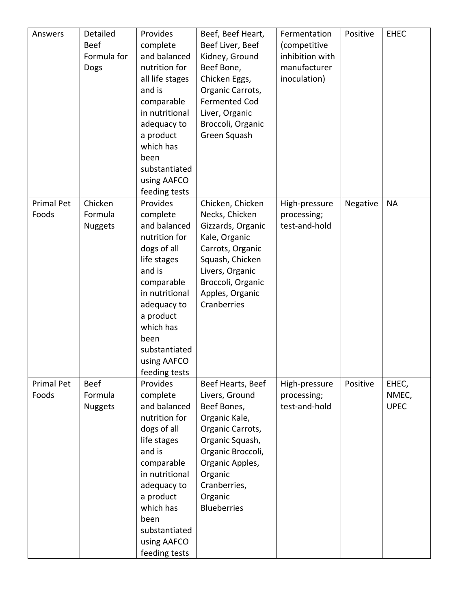| Answers                    | Detailed<br><b>Beef</b><br>Formula for<br>Dogs | Provides<br>complete<br>and balanced<br>nutrition for<br>all life stages<br>and is<br>comparable<br>in nutritional<br>adequacy to<br>a product<br>which has<br>been<br>substantiated<br>using AAFCO<br>feeding tests            | Beef, Beef Heart,<br>Beef Liver, Beef<br>Kidney, Ground<br>Beef Bone,<br>Chicken Eggs,<br>Organic Carrots,<br><b>Fermented Cod</b><br>Liver, Organic<br>Broccoli, Organic<br>Green Squash                      | Fermentation<br>(competitive<br>inhibition with<br>manufacturer<br>inoculation) | Positive | <b>EHEC</b>                   |
|----------------------------|------------------------------------------------|---------------------------------------------------------------------------------------------------------------------------------------------------------------------------------------------------------------------------------|----------------------------------------------------------------------------------------------------------------------------------------------------------------------------------------------------------------|---------------------------------------------------------------------------------|----------|-------------------------------|
| <b>Primal Pet</b><br>Foods | Chicken<br>Formula<br><b>Nuggets</b>           | Provides<br>complete<br>and balanced<br>nutrition for<br>dogs of all<br>life stages<br>and is<br>comparable<br>in nutritional<br>adequacy to<br>a product<br>which has<br>been<br>substantiated<br>using AAFCO<br>feeding tests | Chicken, Chicken<br>Necks, Chicken<br>Gizzards, Organic<br>Kale, Organic<br>Carrots, Organic<br>Squash, Chicken<br>Livers, Organic<br>Broccoli, Organic<br>Apples, Organic<br>Cranberries                      | High-pressure<br>processing;<br>test-and-hold                                   | Negative | <b>NA</b>                     |
| Primal Pet<br>Foods        | <b>Beef</b><br>Formula<br><b>Nuggets</b>       | Provides<br>complete<br>and balanced<br>nutrition for<br>dogs of all<br>life stages<br>and is<br>comparable<br>in nutritional<br>adequacy to<br>a product<br>which has<br>been<br>substantiated<br>using AAFCO<br>feeding tests | Beef Hearts, Beef<br>Livers, Ground<br>Beef Bones,<br>Organic Kale,<br>Organic Carrots,<br>Organic Squash,<br>Organic Broccoli,<br>Organic Apples,<br>Organic<br>Cranberries,<br>Organic<br><b>Blueberries</b> | High-pressure<br>processing;<br>test-and-hold                                   | Positive | EHEC,<br>NMEC,<br><b>UPEC</b> |